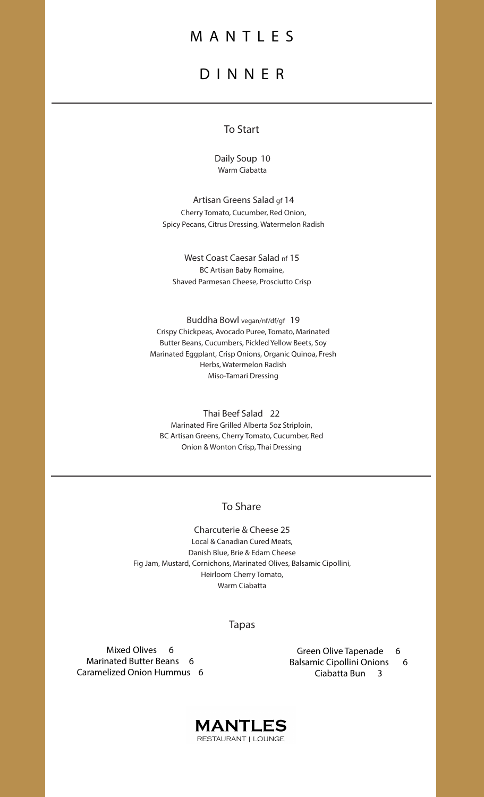## MANTLES

# DINNER

## To Start

Daily Soup 10 Warm Ciabatta

Artisan Greens Salad gf 14 Cherry Tomato, Cucumber, Red Onion, Spicy Pecans, Citrus Dressing, Watermelon Radish

West Coast Caesar Salad nf 15 BC Artisan Baby Romaine, Shaved Parmesan Cheese, Prosciutto Crisp

Buddha Bowl vegan/nf/df/gf 19 Crispy Chickpeas, Avocado Puree, Tomato, Marinated Butter Beans, Cucumbers, Pickled Yellow Beets, Soy Marinated Eggplant, Crisp Onions, Organic Quinoa, Fresh Herbs, Watermelon Radish Miso-Tamari Dressing

Thai Beef Salad 22 Marinated Fire Grilled Alberta 5oz Striploin, BC Artisan Greens, Cherry Tomato, Cucumber, Red Onion & Wonton Crisp, Thai Dressing

### To Share

Charcuterie & Cheese 25 Local & Canadian Cured Meats, Danish Blue, Brie & Edam Cheese Fig Jam, Mustard, Cornichons, Marinated Olives, Balsamic Cipollini, Heirloom Cherry Tomato, Warm Ciabatta

### Tapas

Mixed Olives 6 Marinated Butter Beans 6 Caramelized Onion Hummus 6

Green Olive Tapenade 6 Balsamic Cipollini Onions 6 Ciabatta Bun 3